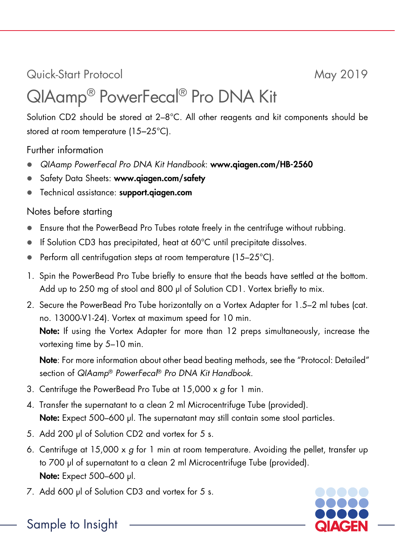Quick-Start Protocol May 2019

## QIAamp® PowerFecal® Pro DNA Kit

Solution CD2 should be stored at 2-8°C. All other reagents and kit components should be stored at room temperature (15–25°C).

Further information

- *QIAamp PowerFecal Pro DNA Kit Handbook*: www.qiagen.com/HB-2560
- Safety Data Sheets: www.qiagen.com/safety
- Technical assistance: support.aiagen.com

## Notes before starting

- Ensure that the PowerBead Pro Tubes rotate freely in the centrifuge without rubbing.
- If Solution CD3 has precipitated, heat at 60°C until precipitate dissolves.
- **•** Perform all centrifugation steps at room temperature  $(15-25^{\circ}C)$ .
- 1. Spin the PowerBead Pro Tube briefly to ensure that the beads have settled at the bottom. Add up to 250 mg of stool and 800 µl of Solution CD1. Vortex briefly to mix.
- 2. Secure the PowerBead Pro Tube horizontally on a Vortex Adapter for 1.5–2 ml tubes (cat. no. 13000-V1-24). Vortex at maximum speed for 10 min. Note: If using the Vortex Adapter for more than 12 preps simultaneously, increase the vortexing time by 5–10 min.

Note: For more information about other bead beating methods, see the "Protocol: Detailed" section of *QIAamp*® *PowerFecal*® *Pro DNA Kit Handbook*.

- 3. Centrifuge the PowerBead Pro Tube at 15,000 x *g* for 1 min.
- 4. Transfer the supernatant to a clean 2 ml Microcentrifuge Tube (provided). Note: Expect 500–600 µl. The supernatant may still contain some stool particles.
- 5. Add 200 µl of Solution CD2 and vortex for 5 s.
- 6. Centrifuge at 15,000 x *g* for 1 min at room temperature. Avoiding the pellet, transfer up to 700 µl of supernatant to a clean 2 ml Microcentrifuge Tube (provided). Note: Expect 500–600 µl.
- 7. Add 600 µl of Solution CD3 and vortex for 5 s.



## Sample to Insight